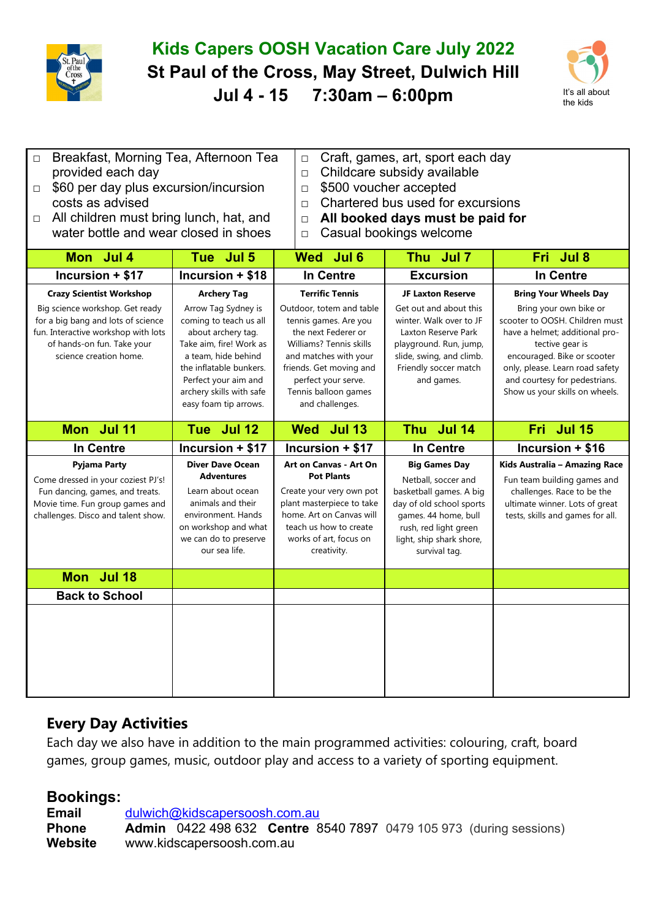

## **Kids Capers OOSH Vacation Care July 2022 St Paul of the Cross, May Street, Dulwich Hill Jul 4 - 15 7:30am – 6:00pm** It's all about



| □ Breakfast, Morning Tea, Afternoon Tea |  |
|-----------------------------------------|--|
| provided each day                       |  |
|                                         |  |

- □ Craft, games, art, sport each day
- □ Childcare subsidy available
- □ \$60 per day plus excursion/incursion costs as advised

□ All children must bring lunch, hat, and water bottle and wear closed in shoes

- □ \$500 voucher accepted □ Chartered bus used for excursions
- □ **All booked days must be paid for**
- □ Casual bookings welcome

| Mon Jul 4                                                                                                                                                                                               | Tue Jul 5                                                                                                                                                                                                                                           | Wed Jul 6                                                                                                                                                                                                                                           | Thu Jul 7                                                                                                                                                                                         | Fri Jul 8                                                                                                                                                                                                                                                                          |
|---------------------------------------------------------------------------------------------------------------------------------------------------------------------------------------------------------|-----------------------------------------------------------------------------------------------------------------------------------------------------------------------------------------------------------------------------------------------------|-----------------------------------------------------------------------------------------------------------------------------------------------------------------------------------------------------------------------------------------------------|---------------------------------------------------------------------------------------------------------------------------------------------------------------------------------------------------|------------------------------------------------------------------------------------------------------------------------------------------------------------------------------------------------------------------------------------------------------------------------------------|
| Incursion + \$17                                                                                                                                                                                        | Incursion + \$18                                                                                                                                                                                                                                    | <b>In Centre</b>                                                                                                                                                                                                                                    | <b>Excursion</b>                                                                                                                                                                                  | <b>In Centre</b>                                                                                                                                                                                                                                                                   |
| <b>Crazy Scientist Workshop</b><br>Big science workshop. Get ready<br>for a big bang and lots of science<br>fun. Interactive workshop with lots<br>of hands-on fun. Take your<br>science creation home. | <b>Archery Tag</b><br>Arrow Tag Sydney is<br>coming to teach us all<br>about archery tag.<br>Take aim, fire! Work as<br>a team, hide behind<br>the inflatable bunkers.<br>Perfect your aim and<br>archery skills with safe<br>easy foam tip arrows. | <b>Terrific Tennis</b><br>Outdoor, totem and table<br>tennis games. Are you<br>the next Federer or<br>Williams? Tennis skills<br>and matches with your<br>friends. Get moving and<br>perfect your serve.<br>Tennis balloon games<br>and challenges. | <b>JF Laxton Reserve</b><br>Get out and about this<br>winter. Walk over to JF<br>Laxton Reserve Park<br>playground. Run, jump,<br>slide, swing, and climb.<br>Friendly soccer match<br>and games. | <b>Bring Your Wheels Day</b><br>Bring your own bike or<br>scooter to OOSH. Children must<br>have a helmet; additional pro-<br>tective gear is<br>encouraged. Bike or scooter<br>only, please. Learn road safety<br>and courtesy for pedestrians.<br>Show us your skills on wheels. |
| Mon Jul 11                                                                                                                                                                                              | Tue Jul 12                                                                                                                                                                                                                                          | Wed Jul 13                                                                                                                                                                                                                                          | Thu Jul 14                                                                                                                                                                                        | Fri Jul 15                                                                                                                                                                                                                                                                         |
| <b>In Centre</b>                                                                                                                                                                                        | Incursion + \$17                                                                                                                                                                                                                                    | Incursion + \$17                                                                                                                                                                                                                                    | <b>In Centre</b>                                                                                                                                                                                  | Incursion + \$16                                                                                                                                                                                                                                                                   |
| <b>Pyjama Party</b><br>Come dressed in your coziest PJ's!<br>Fun dancing, games, and treats.<br>Movie time. Fun group games and<br>challenges. Disco and talent show.                                   | <b>Diver Dave Ocean</b><br><b>Adventures</b><br>Learn about ocean<br>animals and their<br>environment. Hands<br>on workshop and what<br>we can do to preserve<br>our sea life.                                                                      | Art on Canvas - Art On<br><b>Pot Plants</b><br>Create your very own pot<br>plant masterpiece to take<br>home. Art on Canvas will<br>teach us how to create<br>works of art, focus on<br>creativity.                                                 | <b>Big Games Day</b><br>Netball, soccer and<br>basketball games. A big<br>day of old school sports<br>games. 44 home, bull<br>rush, red light green<br>light, ship shark shore,<br>survival tag.  | Kids Australia - Amazing Race<br>Fun team building games and<br>challenges. Race to be the<br>ultimate winner. Lots of great<br>tests, skills and games for all.                                                                                                                   |
| Mon Jul 18                                                                                                                                                                                              |                                                                                                                                                                                                                                                     |                                                                                                                                                                                                                                                     |                                                                                                                                                                                                   |                                                                                                                                                                                                                                                                                    |
| <b>Back to School</b>                                                                                                                                                                                   |                                                                                                                                                                                                                                                     |                                                                                                                                                                                                                                                     |                                                                                                                                                                                                   |                                                                                                                                                                                                                                                                                    |
|                                                                                                                                                                                                         |                                                                                                                                                                                                                                                     |                                                                                                                                                                                                                                                     |                                                                                                                                                                                                   |                                                                                                                                                                                                                                                                                    |

## **Every Day Activities**

Each day we also have in addition to the main programmed activities: colouring, craft, board games, group games, music, outdoor play and access to a variety of sporting equipment.

## **Bookings:**

Email [dulwich@kidscapersoosh.com.au](mailto:dulwich@kidscapersoosh.com.au) **Phone Admin** 0422 498 632 **Centre** 8540 7897 0479 105 973 (during sessions) **Website** www.kidscapersoosh.com.au